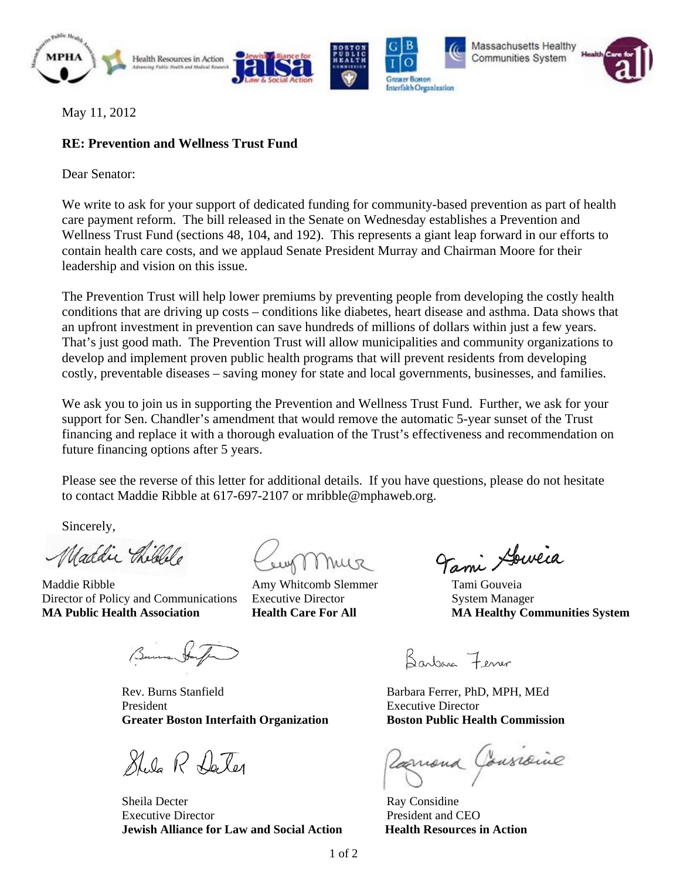





Massachusetts Healthy Communities System



May 11, 2012

## **RE: Prevention and Wellness Trust Fund**

Dear Senator:

We write to ask for your support of dedicated funding for community-based prevention as part of health care payment reform. The bill released in the Senate on Wednesday establishes a Prevention and Wellness Trust Fund (sections 48, 104, and 192). This represents a giant leap forward in our efforts to contain health care costs, and we applaud Senate President Murray and Chairman Moore for their leadership and vision on this issue.

The Prevention Trust will help lower premiums by preventing people from developing the costly health conditions that are driving up costs – conditions like diabetes, heart disease and asthma. Data shows that an upfront investment in prevention can save hundreds of millions of dollars within just a few years. That's just good math. The Prevention Trust will allow municipalities and community organizations to develop and implement proven public health programs that will prevent residents from developing costly, preventable diseases – saving money for state and local governments, businesses, and families.

We ask you to join us in supporting the Prevention and Wellness Trust Fund. Further, we ask for your support for Sen. Chandler's amendment that would remove the automatic 5-year sunset of the Trust financing and replace it with a thorough evaluation of the Trust's effectiveness and recommendation on future financing options after 5 years.

Please see the reverse of this letter for additional details. If you have questions, please do not hesitate to contact Maddie Ribble at 617-697-2107 or mribble@mphaweb.org.

Sincerely,

Maddie Chilelle

Director of Policy and Communications Executive Director System Manager **MA Public Health Association Health Care For All MA Healthy Communities System**

Machele Cougn Muse Tami Houveia

Rev. Burns Stanfield **Barbara Ferrer, PhD, MPH, MEd** President **Executive Director** Executive Director **Greater Boston Interfaith Organization Boston Public Health Commission**

Shila R Da Ter

**Sheila** Decter Executive Director **President and CEO Jewish Alliance for Law and Social Action Health Resources in Action**

Barbara Fener

Varnona Gonsiaine

Ray Considine